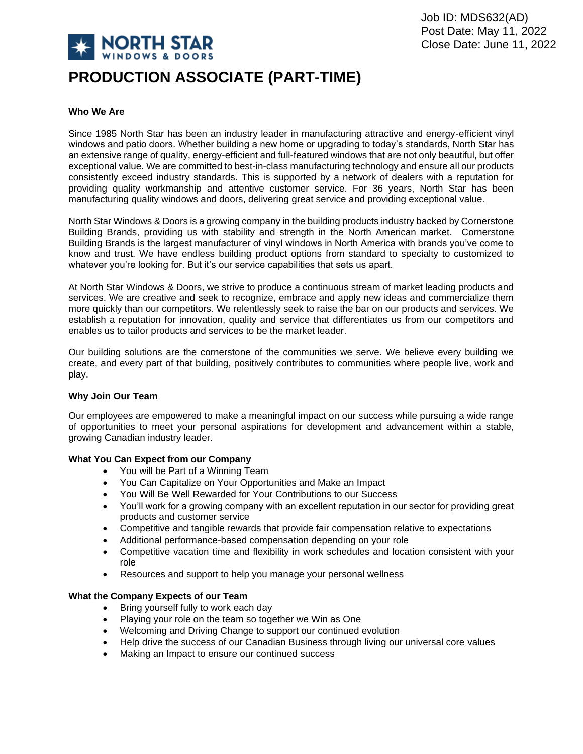

# **PRODUCTION ASSOCIATE (PART-TIME)**

## **Who We Are**

Since 1985 North Star has been an industry leader in manufacturing attractive and energy-efficient vinyl windows and patio doors. Whether building a new home or upgrading to today's standards, North Star has an extensive range of quality, energy-efficient and full-featured windows that are not only beautiful, but offer exceptional value. We are committed to best-in-class manufacturing technology and ensure all our products consistently exceed industry standards. This is supported by a network of dealers with a reputation for providing quality workmanship and attentive customer service. For 36 years, North Star has been manufacturing quality windows and doors, delivering great service and providing exceptional value.

North Star Windows & Doors is a growing company in the building products industry backed by Cornerstone Building Brands, providing us with stability and strength in the North American market. Cornerstone Building Brands is the largest manufacturer of vinyl windows in North America with brands you've come to know and trust. We have endless building product options from standard to specialty to customized to whatever you're looking for. But it's our service capabilities that sets us apart.

At North Star Windows & Doors, we strive to produce a continuous stream of market leading products and services. We are creative and seek to recognize, embrace and apply new ideas and commercialize them more quickly than our competitors. We relentlessly seek to raise the bar on our products and services. We establish a reputation for innovation, quality and service that differentiates us from our competitors and enables us to tailor products and services to be the market leader.

Our building solutions are the cornerstone of the communities we serve. We believe every building we create, and every part of that building, positively contributes to communities where people live, work and play.

#### **Why Join Our Team**

Our employees are empowered to make a meaningful impact on our success while pursuing a wide range of opportunities to meet your personal aspirations for development and advancement within a stable, growing Canadian industry leader.

#### **What You Can Expect from our Company**

- You will be Part of a Winning Team
- You Can Capitalize on Your Opportunities and Make an Impact
- You Will Be Well Rewarded for Your Contributions to our Success
- You'll work for a growing company with an excellent reputation in our sector for providing great products and customer service
- Competitive and tangible rewards that provide fair compensation relative to expectations
- Additional performance-based compensation depending on your role
- Competitive vacation time and flexibility in work schedules and location consistent with your role
- Resources and support to help you manage your personal wellness

#### **What the Company Expects of our Team**

- Bring yourself fully to work each day
- Playing your role on the team so together we Win as One
- Welcoming and Driving Change to support our continued evolution
- Help drive the success of our Canadian Business through living our universal core values
- Making an Impact to ensure our continued success